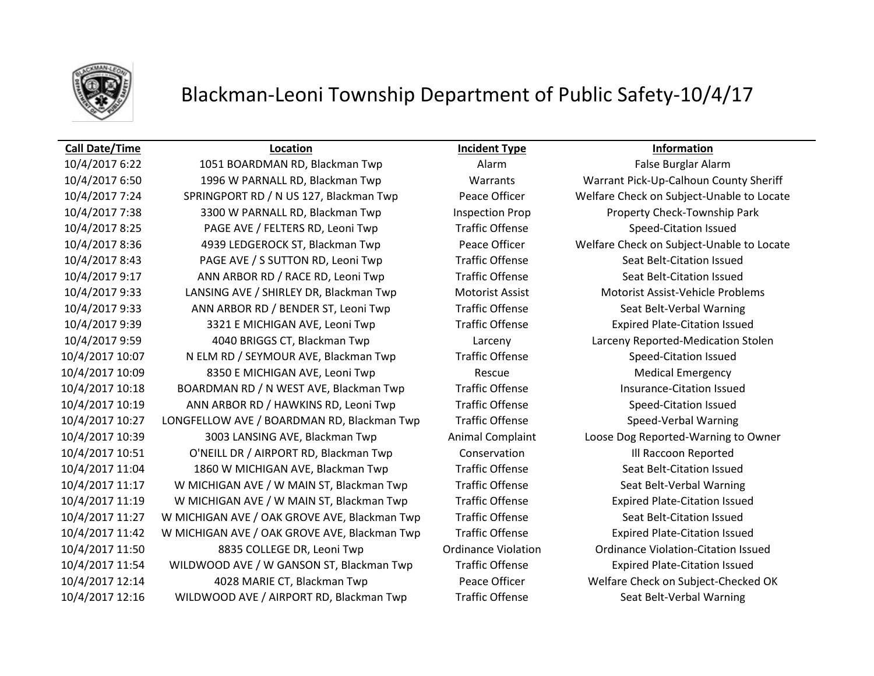

### **Call Date/Time Location Incident Type Information**

10/4/2017 6:50 1996 W PARNALL RD, Blackman Twp Warrants Warrant Pick-Up-Calhoun County Sheriff 10/4/2017 7:24 SPRINGPORT RD / N US 127, Blackman Twp Peace Officer Welfare Check on Subject-Unable to Locate 10/4/2017 7:38 3300 W PARNALL RD, Blackman Twp Inspection Prop Property Check-Township Park 10/4/2017 8:25 PAGE AVE / FELTERS RD, Leoni Twp Traffic Offense Speed-Citation Issued 10/4/2017 8:36 4939 LEDGEROCK ST, Blackman Twp Peace Officer Welfare Check on Subject-Unable to Locate 10/4/2017 8:43 PAGE AVE / S SUTTON RD, Leoni Twp Traffic Offense Seat Belt-Citation Issued 10/4/2017 9:17 ANN ARBOR RD / RACE RD, Leoni Twp Traffic Offense Seat Belt-Citation Issued 10/4/2017 9:33 LANSING AVE / SHIRLEY DR, Blackman Twp Motorist Assist Motorist Assist-Vehicle Problems 10/4/2017 9:33 ANN ARBOR RD / BENDER ST, Leoni Twp Traffic Offense Seat Belt-Verbal Warning 10/4/2017 9:39 3321 E MICHIGAN AVE, Leoni Twp Traffic Offense Expired Plate-Citation Issued 10/4/2017 9:59 4040 BRIGGS CT, Blackman Twp Larceny Larceny Reported-Medication Stolen 10/4/2017 10:07 N ELM RD / SEYMOUR AVE, Blackman Twp Traffic Offense Speed-Citation Issued 10/4/2017 10:09 8350 E MICHIGAN AVE, Leoni Twp Rescue Medical Emergency 10/4/2017 10:18 BOARDMAN RD / N WEST AVE, Blackman Twp Traffic Offense Insurance-Citation Issued 10/4/2017 10:19 ANN ARBOR RD / HAWKINS RD, Leoni Twp Traffic Offense Speed-Citation Issued 10/4/2017 10:27 LONGFELLOW AVE / BOARDMAN RD, Blackman Twp Traffic Offense Speed-Verbal Warning 10/4/2017 10:39 3003 LANSING AVE, Blackman Twp Animal Complaint Loose Dog Reported-Warning to Owner 10/4/2017 10:51 O'NEILL DR / AIRPORT RD, Blackman Twp Conservation Ill Raccoon Reported 10/4/2017 11:04 1860 W MICHIGAN AVE, Blackman Twp Traffic Offense Seat Belt-Citation Issued 10/4/2017 11:17 W MICHIGAN AVE / W MAIN ST, Blackman Twp Traffic Offense Seat Belt-Verbal Warning 10/4/2017 11:19 W MICHIGAN AVE / W MAIN ST, Blackman Twp Traffic Offense Expired Plate-Citation Issued 10/4/2017 11:27 W MICHIGAN AVE / OAK GROVE AVE, Blackman Twp Traffic Offense Seat Belt-Citation Issued 10/4/2017 11:42 W MICHIGAN AVE / OAK GROVE AVE, Blackman Twp Traffic Offense Expired Plate-Citation Issued 10/4/2017 11:50 8835 COLLEGE DR, Leoni Twp Ordinance Violation Ordinance Violation-Citation Issued 10/4/2017 11:54 WILDWOOD AVE / W GANSON ST, Blackman Twp Traffic Offense Expired Plate-Citation Issued 10/4/2017 12:14 4028 MARIE CT, Blackman Twp Peace Officer Welfare Check on Subject-Checked OK 10/4/2017 12:16 WILDWOOD AVE / AIRPORT RD, Blackman Twp Traffic Offense Seat Belt-Verbal Warning

10/4/2017 6:22 1051 BOARDMAN RD, Blackman Twp Alarm False Burglar Alarm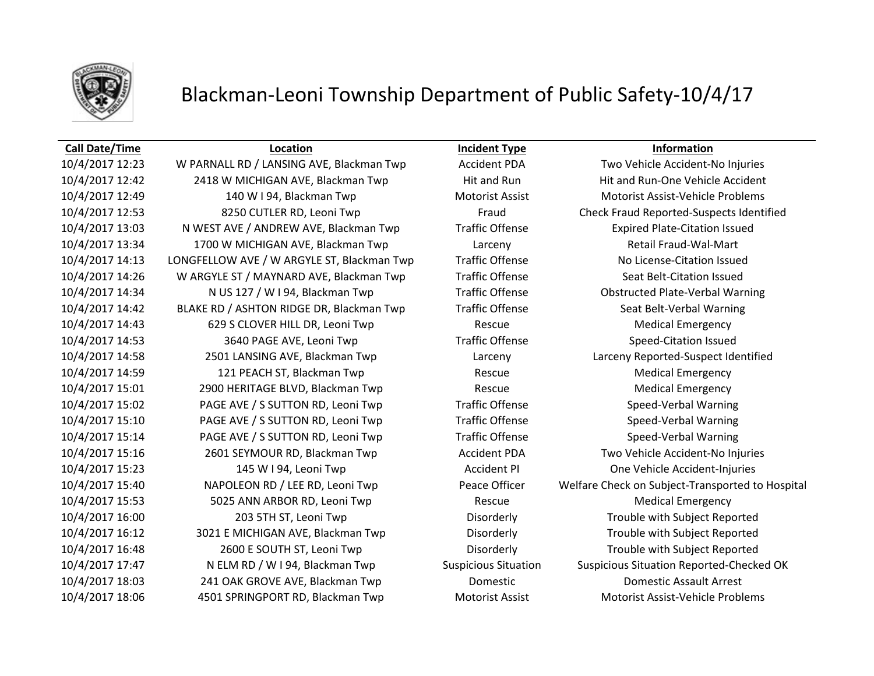

### **Call Date/Time Location Incident Type Information**

10/4/2017 12:23 W PARNALL RD / LANSING AVE, Blackman Twp Accident PDA Two Vehicle Accident-No Injuries 10/4/2017 12:42 2418 W MICHIGAN AVE, Blackman Twp Hit and Run Hit and Run-One Vehicle Accident 10/4/2017 12:49 140 W I 94, Blackman Twp Motorist Assist Motorist Assist-Vehicle Problems 10/4/2017 13:03 N WEST AVE / ANDREW AVE, Blackman Twp Traffic Offense Expired Plate-Citation Issued 10/4/2017 13:34 1700 W MICHIGAN AVE, Blackman Twp Larceny Retail Fraud-Wal-Mart 10/4/2017 14:13 LONGFELLOW AVE / W ARGYLE ST, Blackman Twp Traffic Offense No License-Citation Issued 10/4/2017 14:26 W ARGYLE ST / MAYNARD AVE, Blackman Twp Traffic Offense Seat Belt-Citation Issued 10/4/2017 14:34 N US 127 / W I 94, Blackman Twp Traffic Offense Obstructed Plate-Verbal Warning 10/4/2017 14:42 BLAKE RD / ASHTON RIDGE DR, Blackman Twp Traffic Offense Seat Belt-Verbal Warning 10/4/2017 14:43 629 S CLOVER HILL DR, Leoni Twp Rescue Medical Emergency 10/4/2017 14:53 3640 PAGE AVE, Leoni Twp Traffic Offense Speed-Citation Issued 10/4/2017 14:58 2501 LANSING AVE, Blackman Twp Larceny Larceny Reported-Suspect Identified 10/4/2017 14:59 121 PEACH ST, Blackman Twp Rescue Medical Emergency 10/4/2017 15:01 2900 HERITAGE BLVD, Blackman Twp Rescue Medical Emergency 10/4/2017 15:02 PAGE AVE / S SUTTON RD, Leoni Twp Traffic Offense Speed-Verbal Warning 10/4/2017 15:10 PAGE AVE / S SUTTON RD, Leoni Twp Traffic Offense Speed-Verbal Warning 10/4/2017 15:14 PAGE AVE / S SUTTON RD, Leoni Twp Traffic Offense Speed-Verbal Warning 10/4/2017 15:16 2601 SEYMOUR RD, Blackman Twp Accident PDA Two Vehicle Accident-No Injuries 10/4/2017 15:23 145 W I 94, Leoni Twp Accident PI One Vehicle Accident-Injuries 10/4/2017 15:53 5025 ANN ARBOR RD, Leoni Twp Rescue Medical Emergency 10/4/2017 16:00 203 5TH ST, Leoni Twp Disorderly Trouble with Subject Reported 10/4/2017 16:12 3021 E MICHIGAN AVE, Blackman Twp Disorderly Trouble with Subject Reported 10/4/2017 16:48 2600 E SOUTH ST, Leoni Twp Disorderly Trouble with Subject Reported 10/4/2017 18:03 241 OAK GROVE AVE, Blackman Twp Domestic Domestic Assault Arrest 10/4/2017 18:06 4501 SPRINGPORT RD, Blackman Twp Motorist Assist Motorist Assist-Vehicle Problems

10/4/2017 12:53 8250 CUTLER RD, Leoni Twp Fraud Check Fraud Reported-Suspects Identified 10/4/2017 15:40 NAPOLEON RD / LEE RD, Leoni Twp Peace Officer Welfare Check on Subject-Transported to Hospital 10/4/2017 17:47 N ELM RD / W I 94, Blackman Twp Suspicious Situation Suspicious Situation Reported-Checked OK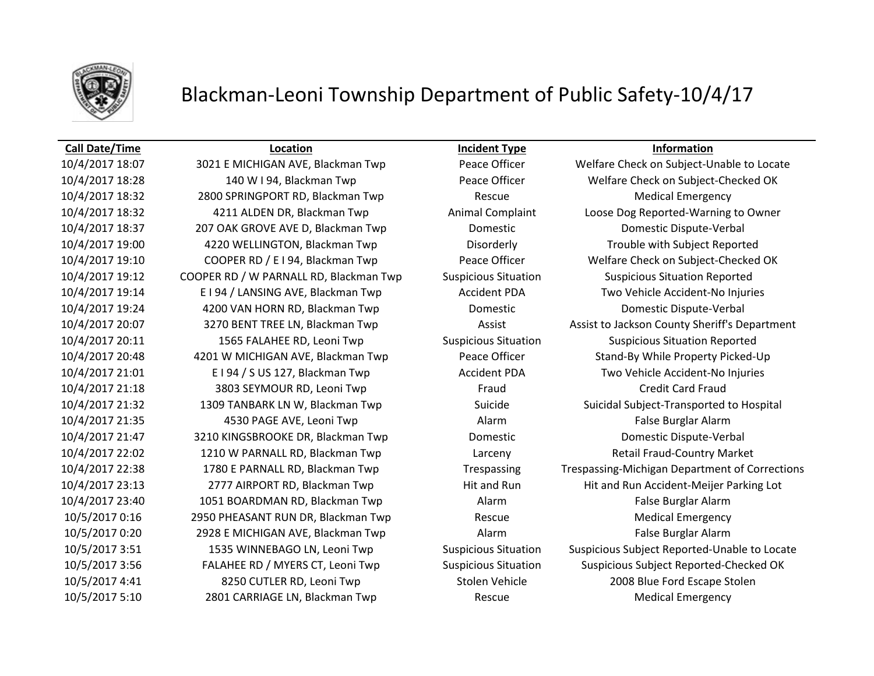

### **Call Date/Time Location Incident Type Information**

10/4/2017 18:32 2800 SPRINGPORT RD, Blackman Twp Rescue Medical Emergency 10/4/2017 21:18 3803 SEYMOUR RD, Leoni Twp Fraud Credit Card Fraud 10/4/2017 21:35 4530 PAGE AVE, Leoni Twp Alarm False Burglar Alarm 10/4/2017 23:40 1051 BOARDMAN RD, Blackman Twp **Alarm Alarm False Burglar Alarm** False Burglar Alarm 10/5/2017 0:16 2950 PHEASANT RUN DR, Blackman Twp Rescue Medical Emergency 10/5/2017 0:20 2928 E MICHIGAN AVE, Blackman Twp Alarm False Burglar Alarm 10/5/2017 5:10 2801 CARRIAGE LN, Blackman Twp Rescue Medical Emergency

10/4/2017 18:07 3021 E MICHIGAN AVE, Blackman Twp Peace Officer Welfare Check on Subject-Unable to Locate 10/4/2017 18:28 140 W I 94, Blackman Twp Peace Officer Welfare Check on Subject-Checked OK 10/4/2017 18:32 4211 ALDEN DR, Blackman Twp Animal Complaint Loose Dog Reported-Warning to Owner 10/4/2017 18:37 207 OAK GROVE AVE D, Blackman Twp Domestic Domestic Dispute-Verbal 10/4/2017 19:00 4220 WELLINGTON, Blackman Twp Disorderly Trouble with Subject Reported 10/4/2017 19:10 COOPER RD / E I 94, Blackman Twp Peace Officer Welfare Check on Subject-Checked OK 10/4/2017 19:12 COOPER RD / W PARNALL RD, Blackman Twp Suspicious Situation Suspicious Situation Reported 10/4/2017 19:14 E I 94 / LANSING AVE, Blackman Twp Accident PDA Two Vehicle Accident-No Injuries 10/4/2017 19:24 4200 VAN HORN RD, Blackman Twp Domestic Domestic Dispute-Verbal 10/4/2017 20:07 3270 BENT TREE LN, Blackman Twp Assist Assist Assist to Jackson County Sheriff's Department 10/4/2017 20:11 1565 FALAHEE RD, Leoni Twp Suspicious Situation Suspicious Situation Reported 10/4/2017 20:48 4201 W MICHIGAN AVE, Blackman Twp Peace Officer Stand-By While Property Picked-Up 10/4/2017 21:01 E I 94 / S US 127, Blackman Twp Accident PDA Two Vehicle Accident-No Injuries 10/4/2017 21:32 1309 TANBARK LN W, Blackman Twp Suicide Suicidal Subject-Transported to Hospital 10/4/2017 21:47 3210 KINGSBROOKE DR, Blackman Twp Domestic Domestic Dispute-Verbal 10/4/2017 22:02 1210 W PARNALL RD, Blackman Twp Larceny Retail Fraud-Country Market 10/4/2017 22:38 1780 E PARNALL RD, Blackman Twp Trespassing Trespassing-Michigan Department of Corrections 10/4/2017 23:13 2777 AIRPORT RD, Blackman Twp Hit and Run Hit and Run Hit and Run Accident-Meijer Parking Lot 10/5/2017 3:51 1535 WINNEBAGO LN, Leoni Twp Suspicious Situation Suspicious Subject Reported-Unable to Locate 10/5/2017 3:56 FALAHEE RD / MYERS CT, Leoni Twp Suspicious Situation Suspicious Subject Reported-Checked OK 10/5/2017 4:41 8250 CUTLER RD, Leoni Twp Stolen Vehicle 2008 Blue Ford Escape Stolen